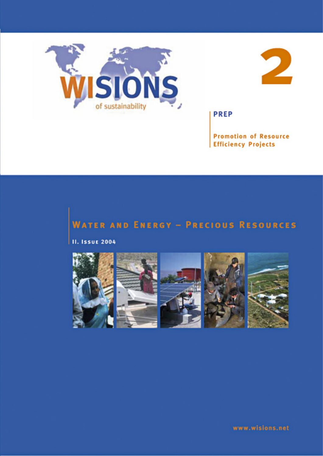



**PREP** 

**Promotion of Resource Efficiency Projects** 

# **WATER AND ENERGY - PRECIOUS RESOURCES**

**II. Issue 2004** 

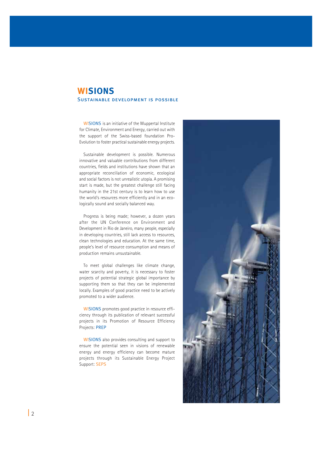## **WISIONS** Sustainable development is possible

WISIONS is an initiative of the Wuppertal Institute for Climate, Environment and Energy, carried out with the support of the Swiss-based foundation Pro-Evolution to foster practical sustainable energy projects.

Sustainable development is possible. Numerous innovative and valuable contributions from different countries, fields and institutions have shown that an appropriate reconciliation of economic, ecological and social factors is not unrealistic utopia. A promising start is made, but the greatest challenge still facing humanity in the 21st century is to learn how to use the world's resources more efficiently and in an ecologically sound and socially balanced way.

Progress is being made; however, a dozen years after the UN Conference on Environment and Development in Rio de Janeiro, many people, especially in developing countries, still lack access to resources, clean technologies and education. At the same time, people's level of resource consumption and means of production remains unsustainable.

To meet global challenges like climate change, water scarcity and poverty, it is necessary to foster projects of potential strategic global importance by supporting them so that they can be implemented locally. Examples of good practice need to be actively promoted to a wider audience.

WISIONS promotes good practice in resource efficiency through its publication of relevant successful projects in its Promotion of Resource Efficiency Projects: PREP

WISIONS also provides consulting and support to ensure the potential seen in visions of renewable energy and energy efficiency can become mature projects through its Sustainable Energy Project Support: SEPS

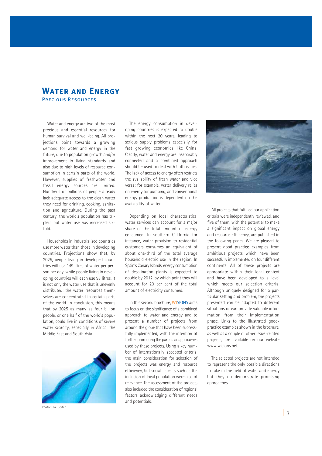## **Water and Energy** Precious Resources

Water and energy are two of the most precious and essential resources for human survival and well-being. All projections point towards a growing demand for water and energy in the future, due to population growth and/or improvement in living standards and also due to high levels of resource consumption in certain parts of the world. However, supplies of freshwater and fossil energy sources are limited. Hundreds of millions of people already lack adequate access to the clean water they need for drinking, cooking, sanitation and agriculture. During the past century, the world's population has tripled, but water use has increased sixfold.

Households in industrialised countries use more water than those in developing countries. Projections show that, by 2025, people living in developed countries will use 149 litres of water per person per day, while people living in developing countries will each use 93 litres. It is not only the water use that is unevenly distributed; the water resources themselves are concentrated in certain parts of the world. In conclusion, this means that by 2025 as many as four billion people, or one half of the world's population, could live in conditions of severe water scarcity, especially in Africa, the Middle East and South Asia.



Photo: Elke Oerter

The energy consumption in developing countries is expected to double within the next 20 years, leading to serious supply problems especially for fast growing economies like China. Clearly, water and energy are inseparably connected and a combined approach should be used to deal with both issues. The lack of access to energy often restricts the availability of fresh water and vice versa: for example, water delivery relies on energy for pumping, and conventional energy production is dependent on the availability of water.

Depending on local characteristics, water services can account for a major share of the total amount of energy consumed. In southern California for instance, water provision to residential customers consumes an equivalent of about one-third of the total average household electric use in the region. In Spain's Canary Islands, energy consumption of desalination plants is expected to double by 2012, by which point they will account for 20 per cent of the total amount of electricity consumed.

In this second brochure, WISIONS aims to focus on the significance of a combined approach to water and energy and to present a number of projects from around the globe that have been successfully implemented, with the intention of further promoting the particular approaches used by these projects. Using a key number of internationally accepted criteria, the main consideration for selection of the projects was energy and resource efficiency, but social aspects such as the inclusion of local population were also of relevance. The assessment of the projects also included the consideration of regional factors acknowledging different needs and potentials.



All projects that fulfilled our application criteria were independently reviewed, and five of them, with the potential to make a significant impact on global energy and resource efficiency, are published in the following pages. We are pleased to present good practice examples from ambitious projects which have been successfully implemented on four different continents. All of these projects are appropriate within their local context and have been developed to a level which meets our selection criteria. Although uniquely designed for a particular setting and problem, the projects presented can be adapted to different situations or can provide valuable information from their implementation phase. Links to the illustrated goodpractice examples shown in the brochure, as well as a couple of other issue-related projects, are available on our website www.wisions.net

The selected projects are not intended to represent the only possible directions to take in the field of water and energy but they do demonstrate promising approaches.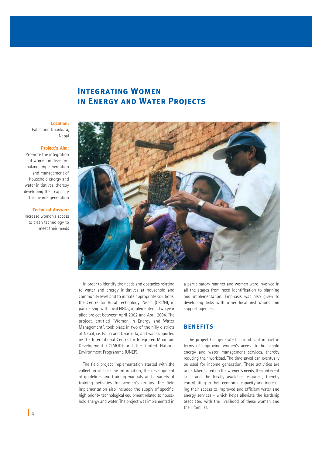## **INTEGRATING WOMEN in Energy and Water Projects**

## **Location:**

Palpa and Dhankuta, Nepal

#### **Project's Aim:**

Promote the integration of women in decisionmaking, implementation and management of household energy and water initiatives, thereby developing their capacity for income generation

#### **Technical Answer:**

Increase women's access to clean technology to meet their needs



In order to identify the needs and obstacles relating to water and energy initiatives at household and community level and to initiate appropriate solutions, the Centre for Rural Technology, Nepal (CRT/N), in partnership with local NGOs, implemented a two year pilot project between April 2002 and April 2004. The project, entitled "Women in Energy and Water Management", took place in two of the hilly districts of Nepal, i.e. Palpa and Dhankuta, and was supported by the International Centre for Integrated Mountain Development (ICIMOD) and the United Nations Environment Programme (UNEP).

The field project implementation started with the collection of baseline information, the development of guidelines and training manuals, and a variety of training activities for women's groups. The field implementation also included the supply of specific, high priority technological equipment related to household energy and water. The project was implemented in a participatory manner and women were involved in all the stages from need identification to planning and implementation. Emphasis was also given to developing links with other local institutions and support agencies.

#### **BENEFITS**

The project has generated a significant impact in terms of improving women's access to household energy and water management services, thereby reducing their workload. The time saved can eventually be used for income generation. These activities are undertaken based on the women's needs, their inherent skills and the locally available resources, thereby contributing to their economic capacity and increasing their access to improved and efficient water and energy services - which helps alleviate the hardship associated with the livelihood of these women and their families.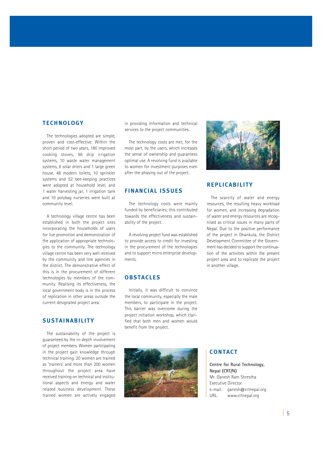#### **TECHNOLOGY**

The technologies adopted are simple, proven and cost-effective. Within the short period of two years, 180 improved cooking stoves, 96 drip irrigation systems, 10 waste water management systems, 6 solar driers and 1 large green house, 48 modern toilets, 10 sprinkler systems and 52 bee-keeping practices were adopted at household level, and 1 water harvesting jar, 1 irrigation tank and 10 polybag nurseries were built at community level.

A technology village centre has been established in both the project sites incorporating the households of users for live promotion and demonstration of the application of appropriate technologies to the community. The technology village centre has been very well received by the community and line agencies in the district. The demonstrative effect of this is in the procurement of different technologies by members of the community. Realising its effectiveness, the local government body is in the process of replication in other areas outside the current designated project area.

### **SUSTAINABILITY**

The sustainability of the project is guaranteed by the in-depth involvement of project members. Women participating in the project gain knowledge through technical training. 20 women are trained as 'trainers' and more than 200 women throughout the project area have received training on technical and institutional aspects and energy and water related business development. These trained women are actively engaged

in providing information and technical services to the project communities.

The technology costs are met, for the most part, by the users, which increases the sense of ownership and guarantees optimal use. A revolving fund is available to women for investment purposes even after the phasing out of the project.

#### **FINANCIAL ISSUES**

The technology costs were mainly funded by beneficiaries; this contributed towards the effectiveness and sustainability of the project.

A revolving project fund was established to provide access to credit for investing in the procurement of the technologies and to support micro enterprise developments.

#### **OBSTACLES**

Initially, it was difficult to convince the local community, especially the male members, to participate in the project. This barrier was overcome during the project initiation workshop, which clarified that both men and women would benefit from the project.





#### **REPLICABILITY**

The scarcity of water and energy resources, the resulting heavy workload for women, and increasing degradation of water and energy resources are recognised as critical issues in many parts of Nepal. Due to the positive performance of the project in Dhankuta, the District Development Committee of the Government has decided to support the continuation of the activities within the present project area and to replicate the project in another village.

### **CONTACT**

**Centre for Rural Technology, Nepal (CRT/N)** Mr. Ganesh Ram Shrestha Executive Director e-mail: ganesh@crtnepal.org URL: www.crtnepal.org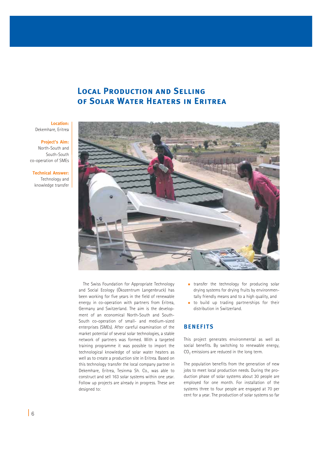# **Local Production and Selling of Solar Water Heaters in Eritrea**

**Location:** Dekemhare, Eritrea

**Project's Aim:** 

North-South and South-South co-operation of SMEs

**Technical Answer:** Technology and knowledge transfer



The Swiss Foundation for Appropriate Technology and Social Ecology (Ökozentrum Langenbruck) has been working for five years in the field of renewable energy in co-operation with partners from Eritrea, Germany and Switzerland. The aim is the development of an economical North-South and South-South co-operation of small- and medium-sized enterprises (SMEs). After careful examination of the market potential of several solar technologies, a stable network of partners was formed. With a targeted training programme it was possible to import the technological knowledge of solar water heaters as well as to create a production site in Eritrea. Based on this technology transfer the local company partner in Dekemhare, Eritrea, Tesinma Sh. Co., was able to construct and sell 163 solar systems within one year. Follow up projects are already in progress. These are designed to:

- **transfer** the technology for producing solar drying systems for drying fruits by environmentally friendly means and to a high quality, and
- to build up trading partnerships for their distribution in Switzerland.

### **BENEFITS**

This project generates environmental as well as social benefits. By switching to renewable energy,  $CO<sub>2</sub>$  emissions are reduced in the long term.

The population benefits from the generation of new jobs to meet local production needs. During the production phase of solar systems about 30 people are employed for one month. For installation of the systems three to four people are engaged at 70 per cent for a year. The production of solar systems so far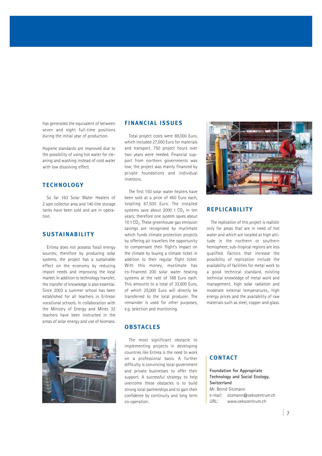has generated the equivalent of between seven and eight full-time positions during the initial year of production.

Hygiene standards are improved due to the possibility of using hot water for cleaning and washing instead of cold water with low dissolving effect.

#### **TECHNOLOGY**

So far 163 Solar Water Heaters of 2 sqm collector area and 140 litre storage tanks have been sold and are in operation.

#### **SUSTAINABILITY**

Eritrea does not possess fossil energy sources; therefore by producing solar systems, the project has a sustainable effect on the economy by reducing import needs and improving the local market. In addition to technology transfer, the transfer of knowledge is also essential. Since 2003 a summer school has been established for all teachers in Eritrean vocational schools. In collaboration with the Ministry of Energy and Mines 32 teachers have been instructed in the areas of solar energy and use of biomass.



#### **FINANCIAL ISSUES**

Total project costs were 69,000 Euro, which included 27,000 Euro for materials and transport. 750 project hours over two years were needed. Financial support from northern governments was low; the project was mainly financed by private foundations and individual investors.

The first 150 solar water heaters have been sold at a price of 450 Euro each, totalling 67,500 Euro. The installed systems save about 2000 t  $CO<sub>2</sub>$  in ten years; therefore one system saves about 10 t  $CO<sub>2</sub>$ . These greenhouse gas emission savings are recognised by myclimate which funds climate protection projects by offering air travellers the opportunity to compensate their flight's impact on the climate by buying a climate ticket in addition to their regular flight ticket. With this money, myclimate has co-financed 200 solar water heating systems at the rate of 168 Euro each. This amounts to a total of 33,600 Euro, of which 25,000 Euro will directly be transferred to the local producer. The remainder is used for other purposes, e.g. selection and monitoring.

#### **OBSTACLES**

The most significant obstacle to implementing projects in developing countries like Eritrea is the need to work on a professional basis. A further difficulty is convincing local government and private businesses to offer their support. A successful strategy to help overcome these obstacles is to build strong local partnerships and to gain their confidence by continuity and long term co-operation.



#### **REPLICABILITY**

The replication of this project is realistic only for areas that are in need of hot water and which are located at high altitude in the northern or southern hemisphere; sub-tropical regions are less qualified. Factors that increase the possibility of replication include the availability of facilities for metal work to a good technical standard, existing technical knowledge of metal work and management, high solar radiation and moderate external temperatures, high energy prices and the availability of raw materials such as steel, copper and glass.

## **CONTACT**

**Foundation for Appropriate Technology and Social Ecology, Switzerland** Mr. Bernd Sitzmann e-mail: sitzmann@oekozentrum.ch URL: www.oekozentrum.ch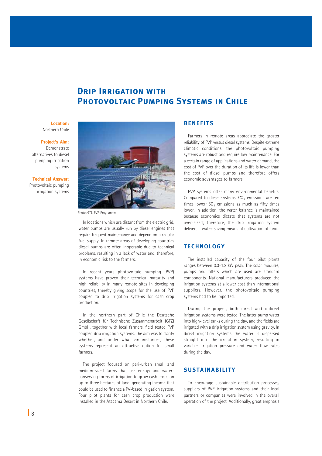## **Drip Irrigation with PHOTOVOLTAIC PUMPING SYSTEMS IN CHILE**

**Location:** Northern Chile

#### **Project's Aim:**

Demonstrate alternatives to diesel pumping irrigation systems

**Technical Answer:** Photovoltaic pumping irrigation systems



Photo: GTZ, PVP-Programme

In locations which are distant from the electric grid, water pumps are usually run by diesel engines that require frequent maintenance and depend on a regular fuel supply. In remote areas of developing countries diesel pumps are often inoperable due to technical problems, resulting in a lack of water and, therefore, in economic risk to the farmers.

In recent years photovoltaic pumping (PVP) systems have proven their technical maturity and high reliability in many remote sites in developing countries, thereby giving scope for the use of PVP coupled to drip irrigation systems for cash crop production.

In the northern part of Chile the Deutsche Gesellschaft für Technische Zusammenarbeit (GTZ) GmbH, together with local farmers, field tested PVP coupled drip irrigation systems. The aim was to clarify whether, and under what circumstances, these systems represent an attractive option for small farmers.

The project focused on peri-urban small and medium-sized farms that use energy and waterconserving forms of irrigation to grow cash crops on up to three hectares of land, generating income that could be used to finance a PV-based irrigation system. Four pilot plants for cash crop production were installed in the Atacama Desert in Northern Chile.

### **BENEFITS**

Farmers in remote areas appreciate the greater reliability of PVP versus diesel systems. Despite extreme climatic conditions, the photovoltaic pumping systems are robust and require low maintenance. For a certain range of applications and water demand, the cost of PVP over the duration of its life is lower than the cost of diesel pumps and therefore offers economic advantages to farmers.

PVP systems offer many environmental benefits. Compared to diesel systems,  $CO<sub>2</sub>$  emissions are ten times lower;  $SO<sub>2</sub>$  emissions as much as fifty times lower. In addition, the water balance is maintained because economics dictate that systems are not over-sized; therefore, the drip irrigation system delivers a water-saving means of cultivation of land.

#### **TECHNOLOGY**

The installed capacity of the four pilot plants ranges between 0.3-1.2 kW peak. The solar modules, pumps and filters which are used are standard components. National manufacturers produced the irrigation systems at a lower cost than international suppliers. However, the photovoltaic pumping systems had to be imported.

During the project, both direct and indirect irrigation systems were tested. The latter pump water into high-level tanks during the day, and the fields are irrigated with a drip irrigation system using gravity. In direct irrigation systems the water is dispersed straight into the irrigation system, resulting in variable irrigation pressure and water flow rates during the day.

#### **SUSTAINABILITY**

To encourage sustainable distribution processes, suppliers of PVP irrigation systems and their local partners or companies were involved in the overall operation of the project. Additionally, great emphasis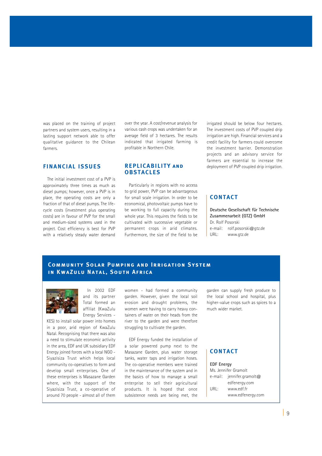was placed on the training of project partners and system users, resulting in a lasting support network able to offer qualitative guidance to the Chilean farmers.

### **FINANCIAL ISSUES**

The initial investment cost of a PVP is approximately three times as much as diesel pumps; however, once a PVP is in place, the operating costs are only a fraction of that of diesel pumps. The lifecycle costs (investment plus operating costs) are in favour of PVP for the small and medium-sized systems used in the project. Cost efficiency is best for PVP with a relatively steady water demand over the year. A cost/revenue analysis for various cash crops was undertaken for an average field of 3 hectares. The results indicated that irrigated farming is profitable in Northern Chile.

#### **REPLICABILITY and OBSTACLES**

Particularly in regions with no access to grid power, PVP can be advantageous for small scale irrigation. In order to be economical, photovoltaic pumps have to be working to full capacity during the whole year. This requires the fields to be cultivated with successive vegetable or permanent crops in arid climates. Furthermore, the size of the field to be irrigated should be below four hectares. The investment costs of PVP coupled drip irrigation are high. Financial services and a credit facility for farmers could overcome the investment barrier. Demonstration projects and an advisory service for farmers are essential to increase the deployment of PVP coupled drip irrigation.

### **CONTACT**

**Deutsche Gesellschaft für Technische Zusammenarbeit (GTZ) GmbH** Dr. Rolf Posorski e-mail: rolf.posorski@gtz.de URL: www.gtz.de

## **Community Solar Pumping and Irrigation System in KwaZulu Natal, South Africa**



In 2002 EDF and its partner Total formed an affiliat (KwaZulu Energy Services -

KES) to install solar power into homes in a poor, arid region of KwaZulu Natal. Recognising that there was also a need to stimulate economic activity in the area, EDF and UK subsidiary EDF Energy joined forces with a local NGO - Siyazisiza Trust which helps local community co-operatives to form and develop small enterprises. One of these enterprises is Masazane Garden where, with the support of the Siyazisiza Trust, a co-operative of around 70 people - almost all of them women - had formed a community garden. However, given the local soil erosion and drought problems, the women were having to carry heavy containers of water on their heads from the river to the garden and were therefore struggling to cultivate the garden.

EDF Energy funded the installation of a solar powered pump next to the Masazane Garden, plus water storage tanks, water taps and irrigation hoses. The co-operative members were trained in the maintenance of the system and in the basics of how to manage a small enterprise to sell their agricultural products. It is hoped that once subsistence needs are being met, the garden can supply fresh produce to the local school and hospital, plus higher-value crops such as spices to a much wider market.

### **CONTACT**

**EDF Energy** Ms. Jennifer Gramolt e-mail: jennifer.gramolt@ edfenergy.com URL: www.edf.fr www.edfenergy.com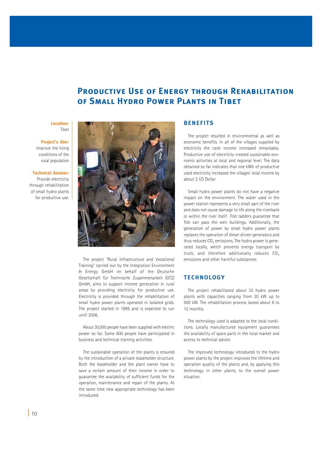# **PRODUCTIVE USE OF ENERGY THROUGH REHABILITATION OF SMALL HYDRO POWER PLANTS IN TIBET**

#### **Location:** Tibet

#### **Project's Aim:**

Improve the living conditions of the rural population

#### **Technical Answer:**

Provide electricity through rehabilitation of small hydro plants for productive use.



The project "Rural Infrastructure and Vocational Training" carried out by the Integration Environment & Energy GmbH on behalf of the Deutsche Gesellschaft für Technische Zusammenarbeit (GTZ) GmbH, aims to support income generation in rural areas by providing electricity for productive use. Electricity is provided through the rehabilitation of small hydro power plants operated in isolated grids. The project started in 1995 and is expected to run until 2006.

About 30,000 people have been supplied with electric power so far. Some 600 people have participated in business and technical training activities.

The sustainable operation of the plants is ensured by the introduction of a private leaseholder structure. Both the leaseholder and the plant owner have to save a certain amount of their income in order to guarantee the availability of sufficient funds for the operation, maintenance and repair of the plants. At the same time new appropriate technology has been introduced.

### **BENEFITS**

The project resulted in environmental as well as economic benefits. In all of the villages supplied by electricity the cash income increased remarkably. Productive use of electricity created sustainable economic activities at local and regional level. The data obtained so far indicates that one kWh of productive used electricity increased the villages' total income by about 2 US Dollar.

Small hydro power plants do not have a negative impact on the environment. The water used in the power station represents a very small part of the river and does not cause damage to life along the riverbank or within the river itself. Fish ladders guarantee that fish can pass the weir buildings. Additionally, the generation of power by small hydro power plants replaces the operation of diesel driven generators and thus reduces  $CO<sub>2</sub>$  emissions. The hydro power is generated locally, which prevents energy transport by truck, and therefore additionally reduces  $CO<sub>2</sub>$ emissions and other harmful substances.

#### **TECHNOLOGY**

The project rehabilitated about 32 hydro power plants with capacities ranging from 20 kW up to 500 kW. The rehabilitation process lasted about 6 to 12 months.

The technology used is adapted to the local conditions. Locally manufactured equipment guarantees the availability of spare parts in the local market and access to technical advice.

The improved technology introduced to the hydro power plants by the project improves the lifetime and operation quality of the plants and, by applying this technology in other plants, to the overall power situation.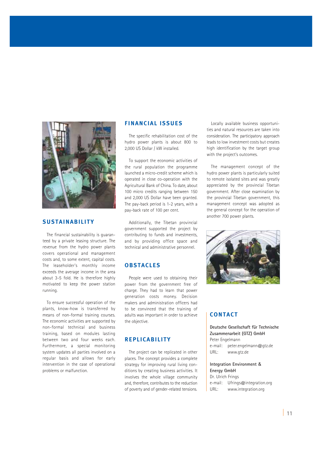

### **SUSTAINABILITY**

The financial sustainability is guaranteed by a private leasing structure. The revenue from the hydro power plants covers operational and management costs and, to some extent, capital costs. The leaseholder's monthly income exceeds the average income in the area about 3-5 fold. He is therefore highly motivated to keep the power station running.

To ensure successful operation of the plants, know-how is transferred by means of non-formal training courses. The economic activities are supported by non-formal technical and business training, based on modules lasting between two and four weeks each. Furthermore, a special monitoring system updates all parties involved on a regular basis and allows for early intervention in the case of operational problems or malfunction.

#### **FINANCIAL ISSUES**

The specific rehabilitation cost of the hydro power plants is about 800 to 2,000 US Dollar / kW installed.

To support the economic activities of the rural population the programme launched a micro-credit scheme which is operated in close co-operation with the Agricultural Bank of China. To date, about 100 micro credits ranging between 150 and 2,000 US Dollar have been granted. The pay-back period is 1-2 years, with a pay-back rate of 100 per cent.

Additionally, the Tibetan provincial government supported the project by contributing to funds and investments, and by providing office space and technical and administrative personnel.

#### **OBSTACLES**

People were used to obtaining their power from the government free of charge. They had to learn that power generation costs money. Decision makers and administration officers had to be convinced that the training of adults was important in order to achieve the objective.

### **REPLICABILITY**

The project can be replicated in other places. The concept provides a complete strategy for improving rural living conditions by creating business activities. It involves the whole village community and, therefore, contributes to the reduction of poverty and of gender-related tensions.

Locally available business opportunities and natural resources are taken into consideration. The participatory approach leads to low investment costs but creates high identification by the target group with the project's outcomes.

The management concept of the hydro power plants is particularly suited to remote isolated sites and was greatly appreciated by the provincial Tibetan government. After close examination by the provincial Tibetan government, this management concept was adopted as the general concept for the operation of another 700 power plants.



## **CONTACT**

**Deutsche Gesellschaft für Technische Zusammenarbeit (GTZ) GmbH** Peter Engelmann e-mail: peter.engelmann@gtz.de URL: www.gtz.de

#### **Integration Environment** & **Energy GmbH** Dr. Ulrich Frings

e-mail: Ufrings@integration.org URL: www.integration.org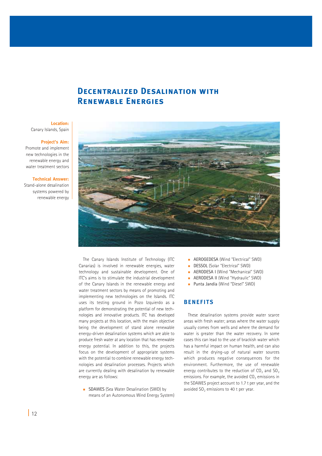## **Decentralized Desalination with Renewable Energies**

## **Location:**

Canary Islands, Spain

#### **Project's Aim:**

Promote and implement new technologies in the renewable energy and water treatment sectors

#### **Technical Answer:**

Stand-alone desalination systems powered by renewable energy



The Canary Islands Institute of Technology (ITC Canarias) is involved in renewable energies, water technology and sustainable development. One of ITC's aims is to stimulate the industrial development of the Canary Islands in the renewable energy and water treatment sectors by means of promoting and implementing new technologies on the Islands. ITC uses its testing ground in Pozo Izquierdo as a platform for demonstrating the potential of new technologies and innovative products. ITC has developed many projects at this location, with the main objective being the development of stand alone renewable energy-driven desalination systems which are able to produce fresh water at any location that has renewable energy potential. In addition to this, the projects focus on the development of appropriate systems with the potential to combine renewable energy technologies and desalination processes. Projects which are currently dealing with desalination by renewable energy are as follows:

**SDAWES** (Sea Water Desalination (SWD) by means of an Autonomous Wind Energy System)

- **AEROGEDESA (Wind "Electrical" SWD)**
- DESSOL (Solar "Electrical" SWD)
- AERODESA I (Wind "Mechanical" SWD)
- **AERODESA II (Wind "Hydraulic" SWD)**
- Punta Jandía (Wind "Diesel" SWD)

### **BENEFITS**

These desalination systems provide water scarce areas with fresh water; areas where the water supply usually comes from wells and where the demand for water is greater than the water recovery. In some cases this can lead to the use of brackish water which has a harmful impact on human health, and can also result in the drying-up of natural water sources which produces negative consequences for the environment. Furthermore, the use of renewable energy contributes to the reduction of  $CO<sub>2</sub>$  and  $SO<sub>2</sub>$ emissions. For example, the avoided  $CO<sub>2</sub>$  emissions in the SDAWES project account to 1.7 t per year, and the avoided  $SO<sub>2</sub>$  emissions to 40 t per year.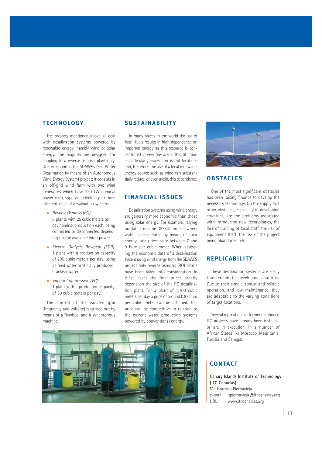#### **TECHNOLOGY**

The projects mentioned above all deal with desalination systems powered by renewable energy, namely wind or solar energy. The majority are designed for coupling to a reverse osmosis plant only. One exception is the SDAWES (Sea Water Desalination by means of an Autonomous Wind Energy System) project: it consists in an off-grid wind farm with two wind generators which have 230 kW nominal power each, supplying electricity to three different kinds of desalination systems:

- Reverse Osmosis (RO): 8 plants with 25 cubic meters per day nominal production each, being connected or disconnected depending on the available wind power
- **Electro Dialysis Reversal (EDR):** 1 plant with a production capacity of 200 cubic meters per day, using as feed water artificially produced brackish water
- **Vapour Compression (VC):** 1 plant with a production capacity of 50 cubic meters per day

The control of the isolated grid (frequency and voltage) is carried out by means of a flywheel and a synchronous machine.

#### **SUSTAINABILITY**

In many places in the world the use of fossil fuels results in high dependence on imported energy as this resource is concentrated in very few areas. This situation is particularly evident in island locations and, therefore, the use of a local renewable energy source such as wind can substantially reduce, or even avoid, this dependence.

#### **FINANCIAL ISSUES**

Desalination systems using wind energy are generally more economic than those using solar energy. For example, relying on data from the DESSOL project where water is desalinated by means of solar energy, sale prices vary between 7 and 9 Euro per cubic meter. When assessing the economic data of a desalination system using wind energy from the SDAWES project only reverse osmosis (RO) plants have been taken into consideration. In these cases the final prices greatly depend on the size of the RO desalination plant. For a plant of 1,100 cubic meters per day a price of around 0.82 Euro per cubic meter can be attained. This price can be competitive in relation to the current water production systems powered by conventional energy.





#### **OBSTACLES**

One of the most significant obstacles has been raising finance to develop the necessary technology. On the supply side other obstacles, especially in developing countries, are the problems associated with introducing new technologies, the lack of training of local staff, the risk of equipment theft, the risk of the project being abandoned, etc.

#### **REPLICABILITY**

These desalination systems are easily transferable to developing countries. Due to their simple, robust and reliable operation, and low maintenance, they are adaptable to the varying conditions of target locations.

Several replications of former mentioned ITC projects have already been installed, or are in execution, in a number of African States like Morocco, Mauritania, Tunisia and Senegal.

### **CONTACT**

#### **Canary Islands Institute of Technology (ITC Canarias)** Mr. Gonzalo Piernavieja

e-mail: gpiernavieja@itccanarias.org URL: www.itccanarias.org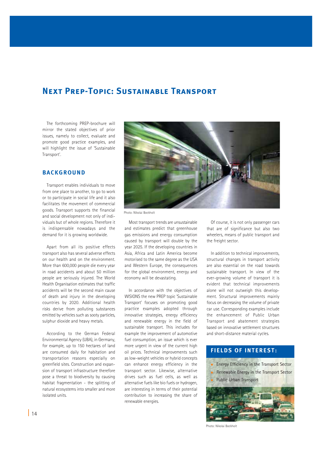# **Next Prep-Topic: Sustainable Transport**

The forthcoming PREP-brochure will mirror the stated objectives of prior issues, namely to collect, evaluate and promote good practice examples, and will highlight the issue of 'Sustainable Transport'.

#### **BACKGROUND**

Transport enables individuals to move from one place to another, to go to work or to participate in social life and it also facilitates the movement of commercial goods. Transport supports the financial and social development not only of individuals but of whole regions. Therefore it is indispensable nowadays and the demand for it is growing worldwide.

Apart from all its positive effects transport also has several adverse effects on our health and on the environment. More than 600,000 people die every year in road accidents and about 50 million people are seriously injured. The World Health Organisation estimates that traffic accidents will be the second main cause of death and injury in the developing countries by 2020. Additional health risks derive from polluting substances emitted by vehicles such as sooty particles, sulphur dioxide and heavy metals.

According to the German Federal Environmental Agency (UBA), in Germany, for example, up to 150 hectares of land are consumed daily for habitation and transportation reasons especially on greenfield sites. Construction and expansion of transport infrastructure therefore pose a threat to biodiversity by causing habitat fragmentation - the splitting of natural ecosystems into smaller and more isolated units.



Photo: Nikolai Bockholt

Most transport trends are unsustainable and estimates predict that greenhouse gas emissions and energy consumption caused by transport will double by the year 2025. If the developing countries in Asia, Africa and Latin America become motorised to the same degree as the USA and Western Europe, the consequences for the global environment, energy and economy will be devastating.

In accordance with the objectives of WISIONS the new PREP topic 'Sustainable Transport' focuses on promoting good practice examples adopted through innovative strategies, energy efficiency and renewable energy in the field of sustainable transport. This includes for example the improvement of automotive fuel consumption, an issue which is ever more urgent in view of the current high oil prices. Technical improvements such as low-weight vehicles or hybrid concepts can enhance energy efficiency in the transport sector. Likewise, alternative drives such as fuel cells, as well as alternative fuels like bio fuels or hydrogen, are interesting in terms of their potential contribution to increasing the share of renewable energies.

Of course, it is not only passenger cars that are of significance but also two wheelers, means of public transport and the freight sector.

In addition to technical improvements, structural changes in transport activity are also essential on the road towards sustainable transport. In view of the ever-growing volume of transport it is evident that technical improvements alone will not outweigh this development. Structural improvements mainly focus on decreasing the volume of private car use. Corresponding examples include the enhancement of Public Urban Transport and abatement strategies based on innovative settlement structures and short-distance material cycles.

## **FIELDS OF INTEREST:**

 Energy Efficiency in the Transport Sector Renewable Energy in the Transport Sector Public Urban Transport



Photo: Nikolai Bockholt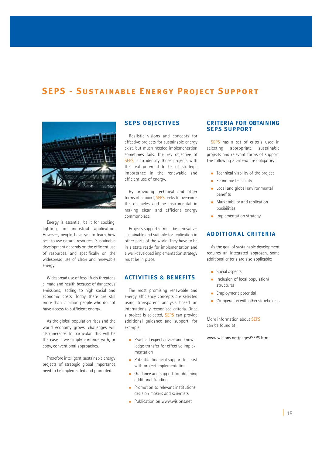# **SEPS - Sustainable Energy Project Support**



Energy is essential, be it for cooking, lighting, or industrial application. However, people have yet to learn how best to use natural resources. Sustainable development depends on the efficient use of resources, and specifically on the widespread use of clean and renewable energy.

Widespread use of fossil fuels threatens climate and health because of dangerous emissions, leading to high social and economic costs. Today there are still more than 2 billion people who do not have access to sufficient energy.

As the global population rises and the world economy grows, challenges will also increase. In particular, this will be the case if we simply continue with, or copy, conventional approaches.

Therefore intelligent, sustainable energy projects of strategic global importance need to be implemented and promoted.

#### **SEPS OBJECTIVES**

Realistic visions and concepts for effective projects for sustainable energy exist, but much needed implementation sometimes fails. The key objective of SEPS is to identify those projects with the real potential to be of strategic importance in the renewable and efficient use of energy.

By providing technical and other forms of support, SEPS seeks to overcome the obstacles and be instrumental in making clean and efficient energy commonplace.

Projects supported must be innovative, sustainable and suitable for replication in other parts of the world. They have to be in a state ready for implementation and a well-developed implementation strategy must be in place.

#### **ACTIVITIES & BENEFITS**

The most promising renewable and energy efficiency concepts are selected using transparent analysis based on internationally recognised criteria. Once a project is selected, SEPS can provide additional guidance and support, for example:

- **Practical expert advice and know**ledge transfer for effective implementation
- **Potential financial support to assist** with project implementation
- Guidance and support for obtaining additional funding
- $\blacksquare$  Promotion to relevant institutions. decision makers and scientists
- Publication on www.wisions.net

#### **CRITERIA FOR OBTAINING SEPS SUPPORT**

SEPS has a set of criteria used in selecting appropriate sustainable projects and relevant forms of support. The following 5 criteria are obligatory:

- **Technical viability of the project**
- Economic feasibility
- Local and global environmental benefits
- **Marketability and replication** posibilities
- $\blacksquare$  Implementation strategy

#### **ADDITIONAL CRITERIA**

As the goal of sustainable development requires an integrated approach, some additional criteria are also applicable:

- Social aspects
- Inclusion of local population/ structures
- **Employment potential**
- Co-operation with other stakeholders

More information about SEPS can be found at:

www.wisions.net/pages/SEPS.htm